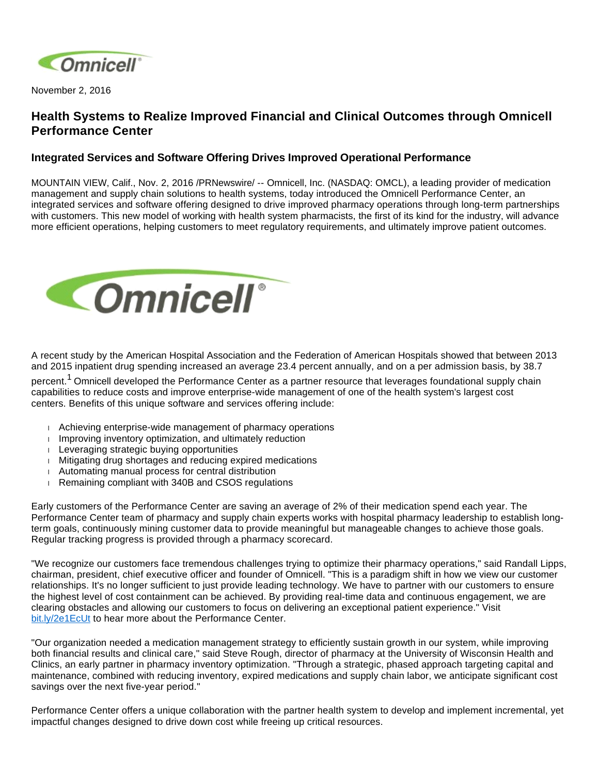

November 2, 2016

# **Health Systems to Realize Improved Financial and Clinical Outcomes through Omnicell Performance Center**

## **Integrated Services and Software Offering Drives Improved Operational Performance**

MOUNTAIN VIEW, Calif., Nov. 2, 2016 /PRNewswire/ -- Omnicell, Inc. (NASDAQ: OMCL), a leading provider of medication management and supply chain solutions to health systems, today introduced the Omnicell Performance Center, an integrated services and software offering designed to drive improved pharmacy operations through long-term partnerships with customers. This new model of working with health system pharmacists, the first of its kind for the industry, will advance more efficient operations, helping customers to meet regulatory requirements, and ultimately improve patient outcomes.



A recent study by the American Hospital Association and the Federation of American Hospitals showed that between 2013 and 2015 inpatient drug spending increased an average 23.4 percent annually, and on a per admission basis, by 38.7

percent.<sup>1</sup> Omnicell developed the Performance Center as a partner resource that leverages foundational supply chain capabilities to reduce costs and improve enterprise-wide management of one of the health system's largest cost centers. Benefits of this unique software and services offering include:

- Achieving enterprise-wide management of pharmacy operations
- $\blacksquare$  Improving inventory optimization, and ultimately reduction
- $\blacksquare$  Leveraging strategic buying opportunities
- Mitigating drug shortages and reducing expired medications
- Automating manual process for central distribution
- Remaining compliant with 340B and CSOS regulations

Early customers of the Performance Center are saving an average of 2% of their medication spend each year. The Performance Center team of pharmacy and supply chain experts works with hospital pharmacy leadership to establish longterm goals, continuously mining customer data to provide meaningful but manageable changes to achieve those goals. Regular tracking progress is provided through a pharmacy scorecard.

"We recognize our customers face tremendous challenges trying to optimize their pharmacy operations," said Randall Lipps, chairman, president, chief executive officer and founder of Omnicell. "This is a paradigm shift in how we view our customer relationships. It's no longer sufficient to just provide leading technology. We have to partner with our customers to ensure the highest level of cost containment can be achieved. By providing real-time data and continuous engagement, we are clearing obstacles and allowing our customers to focus on delivering an exceptional patient experience." Visit [bit.ly/2e1EcUt](http://players.brightcove.net/2766624908001/default_default/index.html?videoId=5182779653001) to hear more about the Performance Center.

"Our organization needed a medication management strategy to efficiently sustain growth in our system, while improving both financial results and clinical care," said Steve Rough, director of pharmacy at the University of Wisconsin Health and Clinics, an early partner in pharmacy inventory optimization. "Through a strategic, phased approach targeting capital and maintenance, combined with reducing inventory, expired medications and supply chain labor, we anticipate significant cost savings over the next five-year period."

Performance Center offers a unique collaboration with the partner health system to develop and implement incremental, yet impactful changes designed to drive down cost while freeing up critical resources.